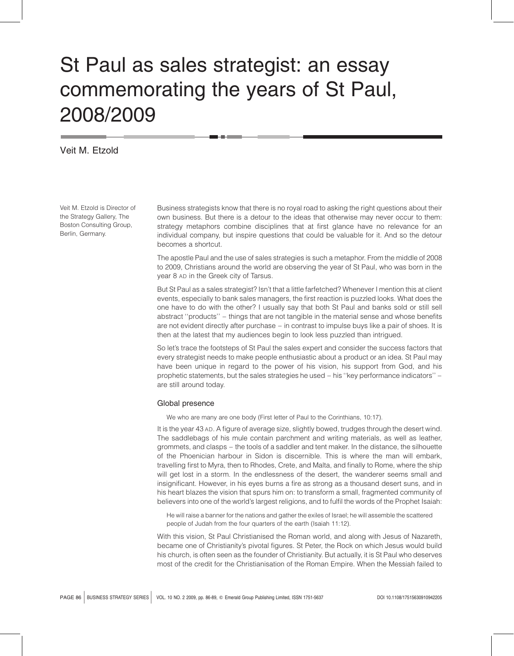# St Paul as sales strategist: an essay commemorating the years of St Paul, 2008/2009

# Veit M. Etzold

Veit M. Etzold is Director of the Strategy Gallery, The Boston Consulting Group, Berlin, Germany.

Business strategists know that there is no royal road to asking the right questions about their own business. But there is a detour to the ideas that otherwise may never occur to them: strategy metaphors combine disciplines that at first glance have no relevance for an individual company, but inspire questions that could be valuable for it. And so the detour becomes a shortcut.

The apostle Paul and the use of sales strategies is such a metaphor. From the middle of 2008 to 2009, Christians around the world are observing the year of St Paul, who was born in the year 8 AD in the Greek city of Tarsus.

But St Paul as a sales strategist? Isn't that a little farfetched? Whenever I mention this at client events, especially to bank sales managers, the first reaction is puzzled looks. What does the one have to do with the other? I usually say that both St Paul and banks sold or still sell abstract ''products'' – things that are not tangible in the material sense and whose benefits are not evident directly after purchase – in contrast to impulse buys like a pair of shoes. It is then at the latest that my audiences begin to look less puzzled than intrigued.

So let's trace the footsteps of St Paul the sales expert and consider the success factors that every strategist needs to make people enthusiastic about a product or an idea. St Paul may have been unique in regard to the power of his vision, his support from God, and his prophetic statements, but the sales strategies he used – his ''key performance indicators'' – are still around today.

#### Global presence

We who are many are one body (First letter of Paul to the Corinthians, 10:17).

It is the year 43 AD. A figure of average size, slightly bowed, trudges through the desert wind. The saddlebags of his mule contain parchment and writing materials, as well as leather, grommets, and clasps – the tools of a saddler and tent maker. In the distance, the silhouette of the Phoenician harbour in Sidon is discernible. This is where the man will embark, travelling first to Myra, then to Rhodes, Crete, and Malta, and finally to Rome, where the ship will get lost in a storm. In the endlessness of the desert, the wanderer seems small and insignificant. However, in his eyes burns a fire as strong as a thousand desert suns, and in his heart blazes the vision that spurs him on: to transform a small, fragmented community of believers into one of the world's largest religions, and to fulfil the words of the Prophet Isaiah:

He will raise a banner for the nations and gather the exiles of Israel; he will assemble the scattered people of Judah from the four quarters of the earth (Isaiah 11:12).

With this vision, St Paul Christianised the Roman world, and along with Jesus of Nazareth, became one of Christianity's pivotal figures. St Peter, the Rock on which Jesus would build his church, is often seen as the founder of Christianity. But actually, it is St Paul who deserves most of the credit for the Christianisation of the Roman Empire. When the Messiah failed to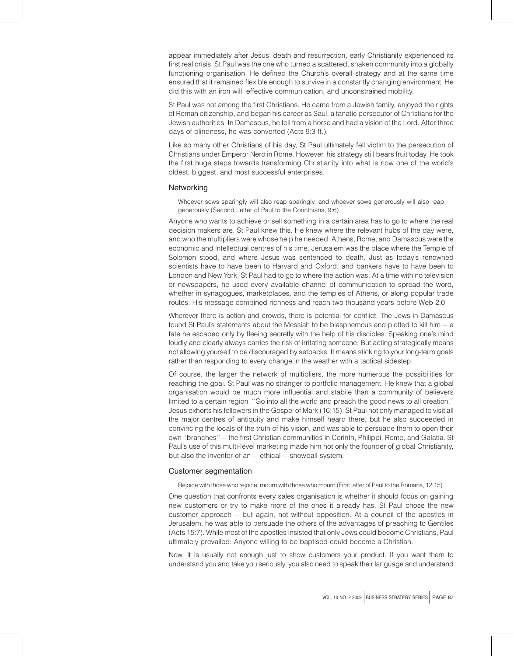appear immediately after Jesus' death and resurrection, early Christianity experienced its first real crisis. St Paul was the one who turned a scattered, shaken community into a globally functioning organisation. He defined the Church's overall strategy and at the same time ensured that it remained flexible enough to survive in a constantly changing environment. He did this with an iron will, effective communication, and unconstrained mobility.

St Paul was not among the first Christians. He came from a Jewish family, enjoyed the rights of Roman citizenship, and began his career as Saul, a fanatic persecutor of Christians for the Jewish authorities. In Damascus, he fell from a horse and had a vision of the Lord. After three days of blindness, he was converted (Acts 9:3 ff.).

Like so many other Christians of his day, St Paul ultimately fell victim to the persecution of Christians under Emperor Nero in Rome. However, his strategy still bears fruit today. He took the first huge steps towards transforming Christianity into what is now one of the world's oldest, biggest, and most successful enterprises.

#### **Networking**

Whoever sows sparingly will also reap sparingly, and whoever sows generously will also reap generously (Second Letter of Paul to the Corinthians, 9:6).

Anyone who wants to achieve or sell something in a certain area has to go to where the real decision makers are. St Paul knew this. He knew where the relevant hubs of the day were, and who the multipliers were whose help he needed. Athens, Rome, and Damascus were the economic and intellectual centres of his time. Jerusalem was the place where the Temple of Solomon stood, and where Jesus was sentenced to death. Just as today's renowned scientists have to have been to Harvard and Oxford, and bankers have to have been to London and New York, St Paul had to go to where the action was. At a time with no television or newspapers, he used every available channel of communication to spread the word, whether in synagogues, marketplaces, and the temples of Athens, or along popular trade routes. His message combined richness and reach two thousand years before Web 2.0.

Wherever there is action and crowds, there is potential for conflict. The Jews in Damascus found St Paul's statements about the Messiah to be blasphemous and plotted to kill him – a fate he escaped only by fleeing secretly with the help of his disciples. Speaking one's mind loudly and clearly always carries the risk of irritating someone. But acting strategically means not allowing yourself to be discouraged by setbacks. It means sticking to your long-term goals rather than responding to every change in the weather with a tactical sidestep.

Of course, the larger the network of multipliers, the more numerous the possibilities for reaching the goal. St Paul was no stranger to portfolio management. He knew that a global organisation would be much more influential and stabile than a community of believers limited to a certain region. ''Go into all the world and preach the good news to all creation,'' Jesus exhorts his followers in the Gospel of Mark (16:15). St Paul not only managed to visit all the major centres of antiquity and make himself heard there, but he also succeeded in convincing the locals of the truth of his vision, and was able to persuade them to open their own ''branches'' – the first Christian communities in Corinth, Philippi, Rome, and Galatia. St Paul's use of this multi-level marketing made him not only the founder of global Christianity, but also the inventor of an – ethical – snowball system.

# Customer segmentation

Rejoice with those who rejoice; mourn with those who mourn (First letter of Paul to the Romans, 12:15).

One question that confronts every sales organisation is whether it should focus on gaining new customers or try to make more of the ones it already has. St Paul chose the new customer approach – but again, not without opposition. At a council of the apostles in Jerusalem, he was able to persuade the others of the advantages of preaching to Gentiles (Acts 15:7). While most of the apostles insisted that only Jews could become Christians, Paul ultimately prevailed: Anyone willing to be baptised could become a Christian.

Now, it is usually not enough just to show customers your product. If you want them to understand you and take you seriously, you also need to speak their language and understand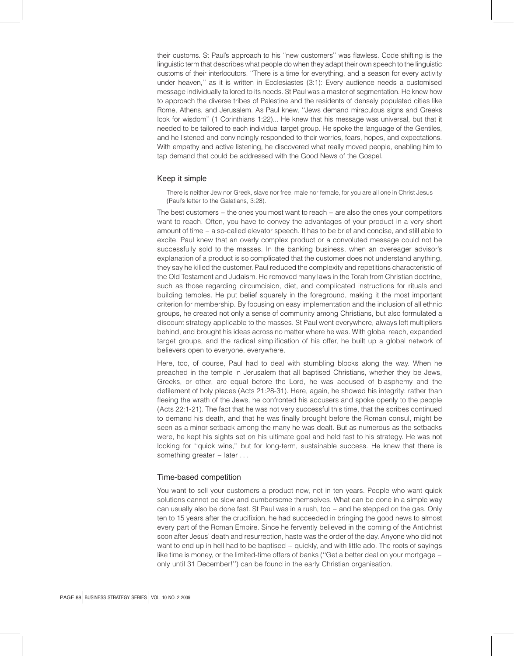their customs. St Paul's approach to his ''new customers'' was flawless. Code shifting is the linguistic term that describes what people do when they adapt their own speech to the linguistic customs of their interlocutors. ''There is a time for everything, and a season for every activity under heaven,'' as it is written in Ecclesiastes (3:1): Every audience needs a customised message individually tailored to its needs. St Paul was a master of segmentation. He knew how to approach the diverse tribes of Palestine and the residents of densely populated cities like Rome, Athens, and Jerusalem. As Paul knew, ''Jews demand miraculous signs and Greeks look for wisdom'' (1 Corinthians 1:22)... He knew that his message was universal, but that it needed to be tailored to each individual target group. He spoke the language of the Gentiles, and he listened and convincingly responded to their worries, fears, hopes, and expectations. With empathy and active listening, he discovered what really moved people, enabling him to tap demand that could be addressed with the Good News of the Gospel.

#### Keep it simple

There is neither Jew nor Greek, slave nor free, male nor female, for you are all one in Christ Jesus (Paul's letter to the Galatians, 3:28).

The best customers – the ones you most want to reach – are also the ones your competitors want to reach. Often, you have to convey the advantages of your product in a very short amount of time – a so-called elevator speech. It has to be brief and concise, and still able to excite. Paul knew that an overly complex product or a convoluted message could not be successfully sold to the masses. In the banking business, when an overeager advisor's explanation of a product is so complicated that the customer does not understand anything, they say he killed the customer. Paul reduced the complexity and repetitions characteristic of the Old Testament and Judaism. He removed many laws in the Torah from Christian doctrine, such as those regarding circumcision, diet, and complicated instructions for rituals and building temples. He put belief squarely in the foreground, making it the most important criterion for membership. By focusing on easy implementation and the inclusion of all ethnic groups, he created not only a sense of community among Christians, but also formulated a discount strategy applicable to the masses. St Paul went everywhere, always left multipliers behind, and brought his ideas across no matter where he was. With global reach, expanded target groups, and the radical simplification of his offer, he built up a global network of believers open to everyone, everywhere.

Here, too, of course, Paul had to deal with stumbling blocks along the way. When he preached in the temple in Jerusalem that all baptised Christians, whether they be Jews, Greeks, or other, are equal before the Lord, he was accused of blasphemy and the defilement of holy places (Acts 21:28-31). Here, again, he showed his integrity: rather than fleeing the wrath of the Jews, he confronted his accusers and spoke openly to the people (Acts 22:1-21). The fact that he was not very successful this time, that the scribes continued to demand his death, and that he was finally brought before the Roman consul, might be seen as a minor setback among the many he was dealt. But as numerous as the setbacks were, he kept his sights set on his ultimate goal and held fast to his strategy. He was not looking for ''quick wins,'' but for long-term, sustainable success. He knew that there is something greater - later ...

# Time-based competition

You want to sell your customers a product now, not in ten years. People who want quick solutions cannot be slow and cumbersome themselves. What can be done in a simple way can usually also be done fast. St Paul was in a rush, too – and he stepped on the gas. Only ten to 15 years after the crucifixion, he had succeeded in bringing the good news to almost every part of the Roman Empire. Since he fervently believed in the coming of the Antichrist soon after Jesus' death and resurrection, haste was the order of the day. Anyone who did not want to end up in hell had to be baptised – quickly, and with little ado. The roots of sayings like time is money, or the limited-time offers of banks (''Get a better deal on your mortgage – only until 31 December!'') can be found in the early Christian organisation.